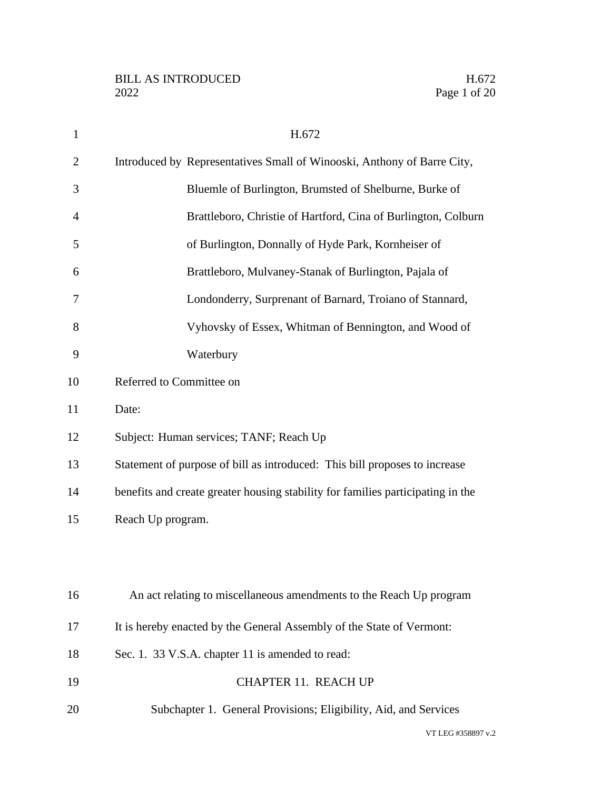| $\mathbf{1}$   | H.672                                                                           |
|----------------|---------------------------------------------------------------------------------|
| $\overline{2}$ | Introduced by Representatives Small of Winooski, Anthony of Barre City,         |
| 3              | Bluemle of Burlington, Brumsted of Shelburne, Burke of                          |
| 4              | Brattleboro, Christie of Hartford, Cina of Burlington, Colburn                  |
| 5              | of Burlington, Donnally of Hyde Park, Kornheiser of                             |
| 6              | Brattleboro, Mulvaney-Stanak of Burlington, Pajala of                           |
| 7              | Londonderry, Surprenant of Barnard, Troiano of Stannard,                        |
| 8              | Vyhovsky of Essex, Whitman of Bennington, and Wood of                           |
| 9              | Waterbury                                                                       |
| 10             | Referred to Committee on                                                        |
| 11             | Date:                                                                           |
| 12             | Subject: Human services; TANF; Reach Up                                         |
| 13             | Statement of purpose of bill as introduced: This bill proposes to increase      |
| 14             | benefits and create greater housing stability for families participating in the |
| 15             | Reach Up program.                                                               |
|                |                                                                                 |
|                |                                                                                 |
| 16             | An act relating to miscellaneous amendments to the Reach Up program             |
| 17             | It is hereby enacted by the General Assembly of the State of Vermont:           |
| 18             | Sec. 1. 33 V.S.A. chapter 11 is amended to read:                                |
| 19             | <b>CHAPTER 11. REACH UP</b>                                                     |
| 20             | Subchapter 1. General Provisions; Eligibility, Aid, and Services                |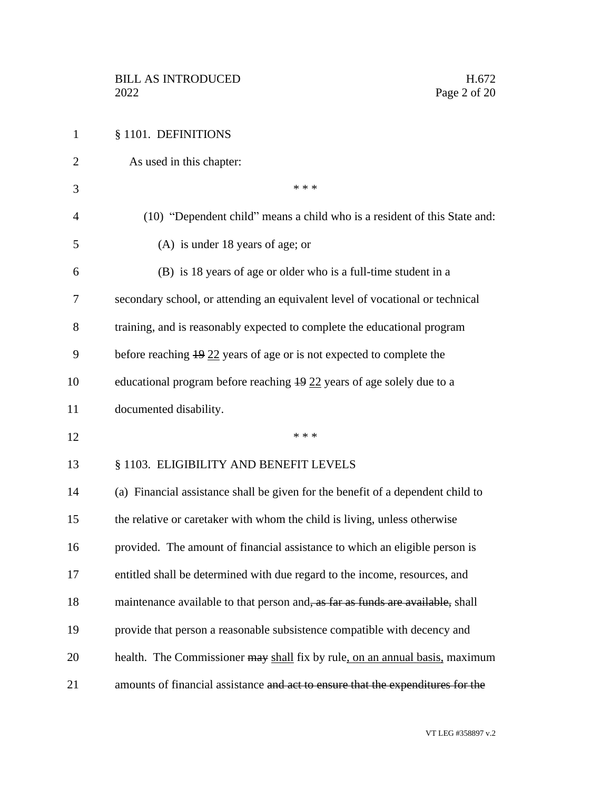| $\mathbf{1}$   | § 1101. DEFINITIONS                                                              |
|----------------|----------------------------------------------------------------------------------|
| $\overline{2}$ | As used in this chapter:                                                         |
| 3              | * * *                                                                            |
| $\overline{4}$ | (10) "Dependent child" means a child who is a resident of this State and:        |
| 5              | (A) is under 18 years of age; or                                                 |
| 6              | (B) is 18 years of age or older who is a full-time student in a                  |
| 7              | secondary school, or attending an equivalent level of vocational or technical    |
| 8              | training, and is reasonably expected to complete the educational program         |
| 9              | before reaching $\frac{19}{22}$ years of age or is not expected to complete the  |
| 10             | educational program before reaching $\frac{19}{22}$ years of age solely due to a |
| 11             | documented disability.                                                           |
| 12             | * * *                                                                            |
| 13             | § 1103. ELIGIBILITY AND BENEFIT LEVELS                                           |
| 14             | (a) Financial assistance shall be given for the benefit of a dependent child to  |
| 15             | the relative or caretaker with whom the child is living, unless otherwise        |
| 16             | provided. The amount of financial assistance to which an eligible person is      |
| 17             | entitled shall be determined with due regard to the income, resources, and       |
| 18             | maintenance available to that person and, as far as funds are available, shall   |
| 19             | provide that person a reasonable subsistence compatible with decency and         |
| 20             | health. The Commissioner may shall fix by rule, on an annual basis, maximum      |
| 21             | amounts of financial assistance and act to ensure that the expenditures for the  |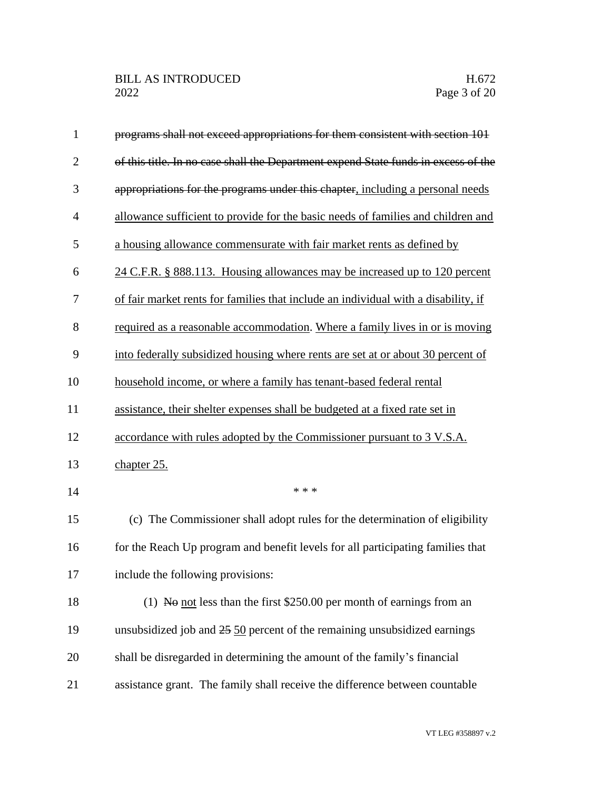| $\mathbf{1}$   | programs shall not exceed appropriations for them consistent with section 101        |
|----------------|--------------------------------------------------------------------------------------|
| $\overline{2}$ | of this title. In no case shall the Department expend State funds in excess of the   |
| 3              | appropriations for the programs under this chapter, including a personal needs       |
| $\overline{4}$ | allowance sufficient to provide for the basic needs of families and children and     |
| 5              | a housing allowance commensurate with fair market rents as defined by                |
| 6              | 24 C.F.R. § 888.113. Housing allowances may be increased up to 120 percent           |
| 7              | of fair market rents for families that include an individual with a disability, if   |
| 8              | required as a reasonable accommodation. Where a family lives in or is moving         |
| 9              | into federally subsidized housing where rents are set at or about 30 percent of      |
| 10             | household income, or where a family has tenant-based federal rental                  |
| 11             | assistance, their shelter expenses shall be budgeted at a fixed rate set in          |
| 12             | accordance with rules adopted by the Commissioner pursuant to 3 V.S.A.               |
| 13             | chapter 25.                                                                          |
| 14             | * * *                                                                                |
| 15             | (c) The Commissioner shall adopt rules for the determination of eligibility          |
| 16             | for the Reach Up program and benefit levels for all participating families that      |
| 17             | include the following provisions:                                                    |
| 18             | (1) No not less than the first $$250.00$ per month of earnings from an               |
| 19             | unsubsidized job and $25\frac{50}{2}$ percent of the remaining unsubsidized earnings |
| 20             | shall be disregarded in determining the amount of the family's financial             |
| 21             | assistance grant. The family shall receive the difference between countable          |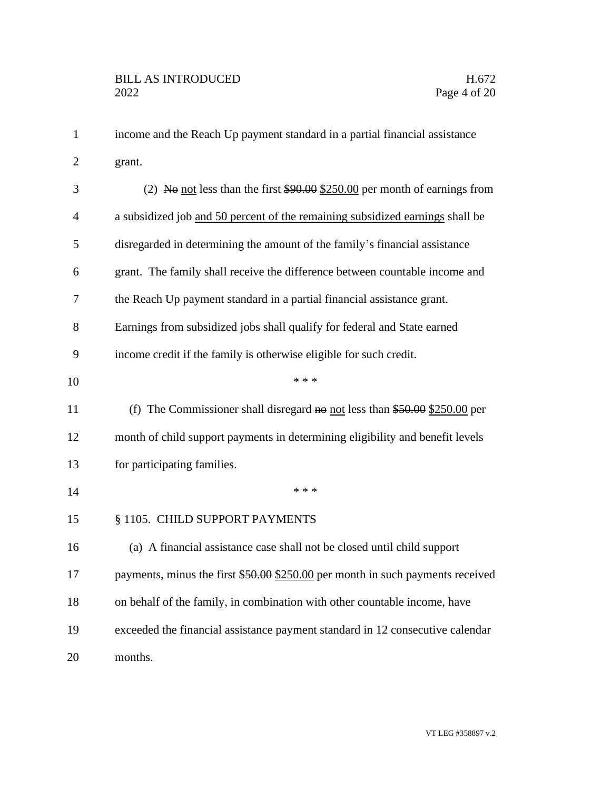| $\mathbf{1}$   | income and the Reach Up payment standard in a partial financial assistance     |
|----------------|--------------------------------------------------------------------------------|
| $\overline{c}$ | grant.                                                                         |
| 3              | (2) No not less than the first $$90.00$ \$250.00 per month of earnings from    |
| $\overline{4}$ | a subsidized job and 50 percent of the remaining subsidized earnings shall be  |
| 5              | disregarded in determining the amount of the family's financial assistance     |
| 6              | grant. The family shall receive the difference between countable income and    |
| 7              | the Reach Up payment standard in a partial financial assistance grant.         |
| 8              | Earnings from subsidized jobs shall qualify for federal and State earned       |
| 9              | income credit if the family is otherwise eligible for such credit.             |
| 10             | * * *                                                                          |
| 11             | (f) The Commissioner shall disregard no not less than $$50.00$ \$250.00 per    |
| 12             | month of child support payments in determining eligibility and benefit levels  |
| 13             | for participating families.                                                    |
| 14             | * * *                                                                          |
| 15             | § 1105. CHILD SUPPORT PAYMENTS                                                 |
| 16             | (a) A financial assistance case shall not be closed until child support        |
| 17             | payments, minus the first \$50.00 \$250.00 per month in such payments received |
| 18             | on behalf of the family, in combination with other countable income, have      |
| 19             | exceeded the financial assistance payment standard in 12 consecutive calendar  |
| 20             | months.                                                                        |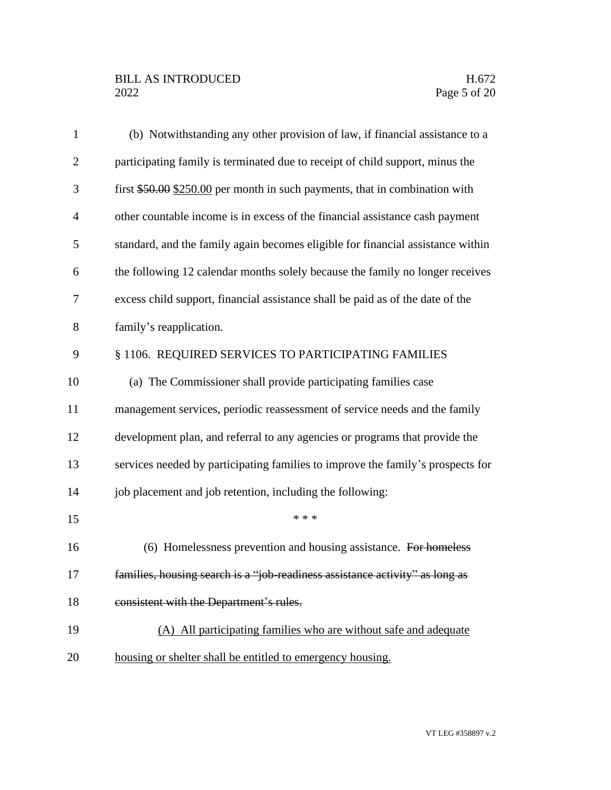| $\mathbf{1}$   | (b) Notwithstanding any other provision of law, if financial assistance to a    |
|----------------|---------------------------------------------------------------------------------|
| $\overline{2}$ | participating family is terminated due to receipt of child support, minus the   |
| 3              | first $$50.00$ $$250.00$ per month in such payments, that in combination with   |
| $\overline{4}$ | other countable income is in excess of the financial assistance cash payment    |
| 5              | standard, and the family again becomes eligible for financial assistance within |
| 6              | the following 12 calendar months solely because the family no longer receives   |
| 7              | excess child support, financial assistance shall be paid as of the date of the  |
| 8              | family's reapplication.                                                         |
| 9              | § 1106. REQUIRED SERVICES TO PARTICIPATING FAMILIES                             |
| 10             | (a) The Commissioner shall provide participating families case                  |
| 11             | management services, periodic reassessment of service needs and the family      |
| 12             | development plan, and referral to any agencies or programs that provide the     |
| 13             | services needed by participating families to improve the family's prospects for |
| 14             | job placement and job retention, including the following:                       |
| 15             | * * *                                                                           |
| 16             | (6) Homelessness prevention and housing assistance. For homeless                |
| 17             | families, housing search is a "job-readiness assistance activity" as long as    |
| 18             | consistent with the Department's rules.                                         |
| 19             | (A) All participating families who are without safe and adequate                |
| 20             | housing or shelter shall be entitled to emergency housing.                      |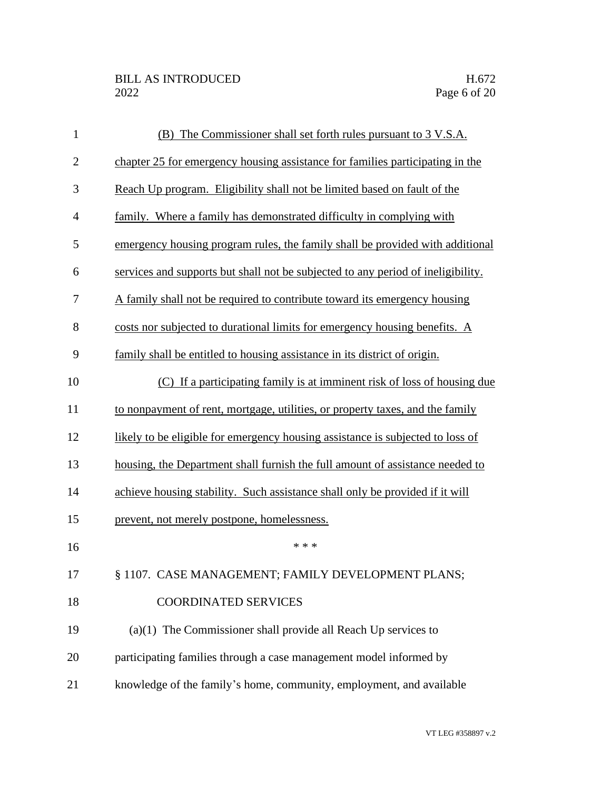| $\mathbf{1}$   | (B) The Commissioner shall set forth rules pursuant to 3 V.S.A.                  |
|----------------|----------------------------------------------------------------------------------|
| $\overline{2}$ | chapter 25 for emergency housing assistance for families participating in the    |
| 3              | Reach Up program. Eligibility shall not be limited based on fault of the         |
| $\overline{4}$ | family. Where a family has demonstrated difficulty in complying with             |
| 5              | emergency housing program rules, the family shall be provided with additional    |
| 6              | services and supports but shall not be subjected to any period of ineligibility. |
| 7              | A family shall not be required to contribute toward its emergency housing        |
| 8              | costs nor subjected to durational limits for emergency housing benefits. A       |
| 9              | family shall be entitled to housing assistance in its district of origin.        |
| 10             | (C) If a participating family is at imminent risk of loss of housing due         |
| 11             | to nonpayment of rent, mortgage, utilities, or property taxes, and the family    |
| 12             | likely to be eligible for emergency housing assistance is subjected to loss of   |
| 13             | housing, the Department shall furnish the full amount of assistance needed to    |
| 14             | achieve housing stability. Such assistance shall only be provided if it will     |
| 15             | prevent, not merely postpone, homelessness.                                      |
| 16             | * * *                                                                            |
| 17             | § 1107. CASE MANAGEMENT; FAMILY DEVELOPMENT PLANS;                               |
| 18             | <b>COORDINATED SERVICES</b>                                                      |
| 19             | $(a)(1)$ The Commissioner shall provide all Reach Up services to                 |
| 20             | participating families through a case management model informed by               |
| 21             | knowledge of the family's home, community, employment, and available             |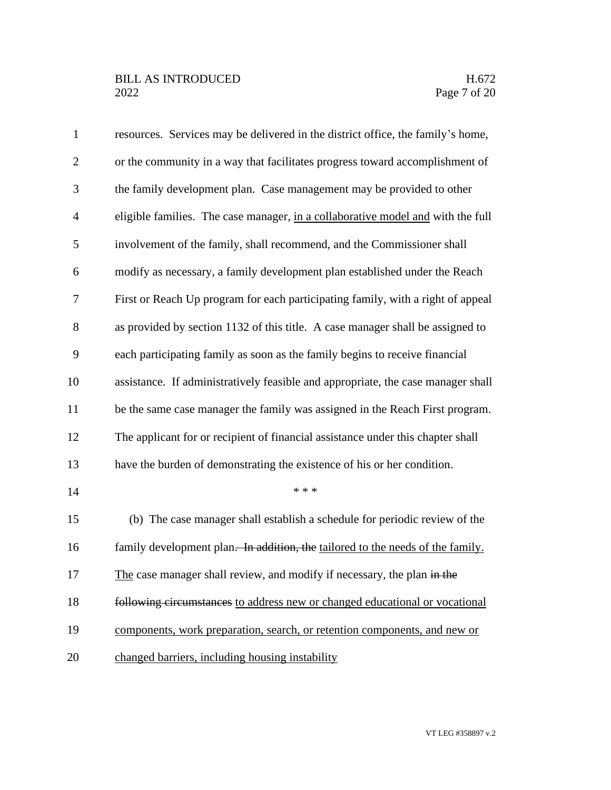| $\mathbf{1}$   | resources. Services may be delivered in the district office, the family's home,  |
|----------------|----------------------------------------------------------------------------------|
| $\overline{2}$ | or the community in a way that facilitates progress toward accomplishment of     |
| 3              | the family development plan. Case management may be provided to other            |
| $\overline{4}$ | eligible families. The case manager, in a collaborative model and with the full  |
| 5              | involvement of the family, shall recommend, and the Commissioner shall           |
| 6              | modify as necessary, a family development plan established under the Reach       |
| 7              | First or Reach Up program for each participating family, with a right of appeal  |
| 8              | as provided by section 1132 of this title. A case manager shall be assigned to   |
| 9              | each participating family as soon as the family begins to receive financial      |
| 10             | assistance. If administratively feasible and appropriate, the case manager shall |
| 11             | be the same case manager the family was assigned in the Reach First program.     |
| 12             | The applicant for or recipient of financial assistance under this chapter shall  |
| 13             | have the burden of demonstrating the existence of his or her condition.          |
| 14             | * * *                                                                            |
| 15             | (b) The case manager shall establish a schedule for periodic review of the       |
| 16             | family development plan. In addition, the tailored to the needs of the family.   |
| 17             | The case manager shall review, and modify if necessary, the plan in the          |
| 18             | following circumstances to address new or changed educational or vocational      |
| 19             | components, work preparation, search, or retention components, and new or        |
| 20             | changed barriers, including housing instability                                  |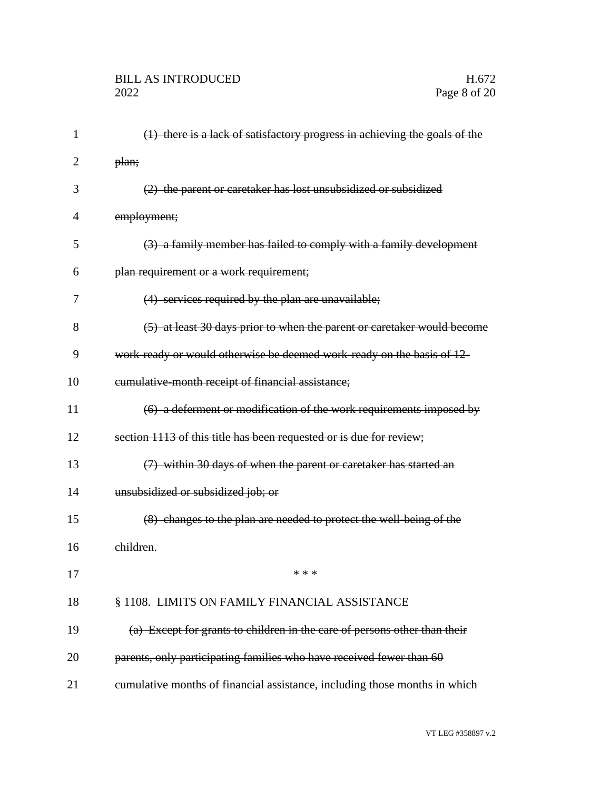| 1  | (1) there is a lack of satisfactory progress in achieving the goals of the |
|----|----------------------------------------------------------------------------|
| 2  | plan;                                                                      |
| 3  | (2) the parent or caretaker has lost unsubsidized or subsidized            |
| 4  | employment;                                                                |
| 5  | (3) a family member has failed to comply with a family development         |
| 6  | plan requirement or a work requirement;                                    |
| 7  | (4) services required by the plan are unavailable;                         |
| 8  | (5) at least 30 days prior to when the parent or caretaker would become    |
| 9  | work-ready or would otherwise be deemed work-ready on the basis of 12-     |
| 10 | eumulative month receipt of financial assistance;                          |
| 11 | (6) a deferment or modification of the work requirements imposed by        |
| 12 | section 1113 of this title has been requested or is due for review;        |
| 13 | (7) within 30 days of when the parent or caretaker has started an          |
| 14 | unsubsidized or subsidized job; or                                         |
| 15 | (8) changes to the plan are needed to protect the well-being of the        |
| 16 | children.                                                                  |
| 17 | * * *                                                                      |
| 18 | § 1108. LIMITS ON FAMILY FINANCIAL ASSISTANCE                              |
| 19 | (a) Except for grants to children in the care of persons other than their  |
| 20 | parents, only participating families who have received fewer than 60       |
| 21 | eumulative months of financial assistance, including those months in which |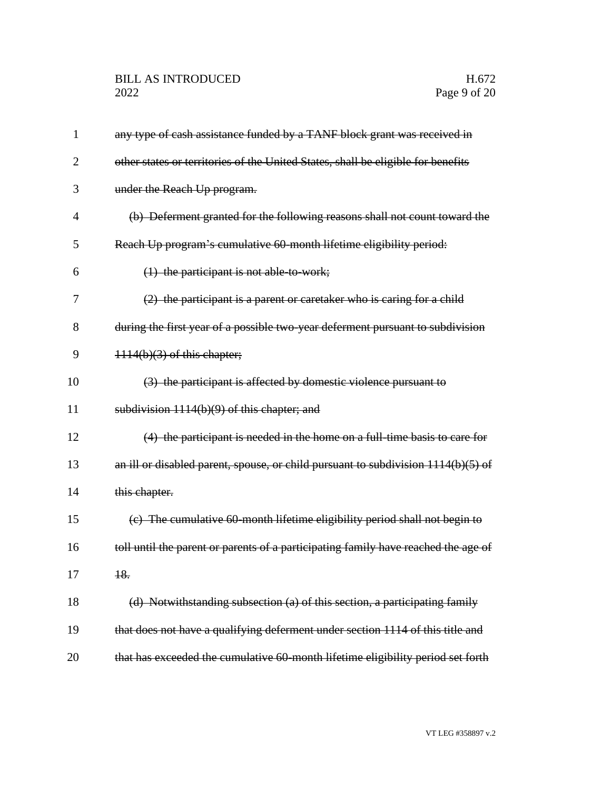| 1              | any type of cash assistance funded by a TANF block grant was received in            |
|----------------|-------------------------------------------------------------------------------------|
| $\overline{2}$ | other states or territories of the United States, shall be eligible for benefits    |
| 3              | under the Reach Up program.                                                         |
| 4              | (b) Deferment granted for the following reasons shall not count toward the          |
| 5              | Reach Up program's cumulative 60 month lifetime eligibility period:                 |
| 6              | $(1)$ the participant is not able to work;                                          |
| 7              | $(2)$ the participant is a parent or caretaker who is caring for a child            |
| 8              | during the first year of a possible two-year deferment pursuant to subdivision      |
| 9              | $1114(b)(3)$ of this chapter;                                                       |
| 10             | (3) the participant is affected by domestic violence pursuant to                    |
| 11             | subdivision 1114(b)(9) of this chapter; and                                         |
| 12             | (4) the participant is needed in the home on a full-time basis to care for          |
| 13             | an ill or disabled parent, spouse, or child pursuant to subdivision $1114(b)(5)$ of |
| 14             | this chapter.                                                                       |
| 15             | (c) The cumulative 60-month lifetime eligibility period shall not begin to          |
| 16             | toll until the parent or parents of a participating family have reached the age of  |
| 17             | 18.                                                                                 |
| 18             | (d) Notwithstanding subsection (a) of this section, a participating family          |
| 19             | that does not have a qualifying deferment under section 1114 of this title and      |
| 20             | that has exceeded the cumulative 60-month lifetime eligibility period set forth     |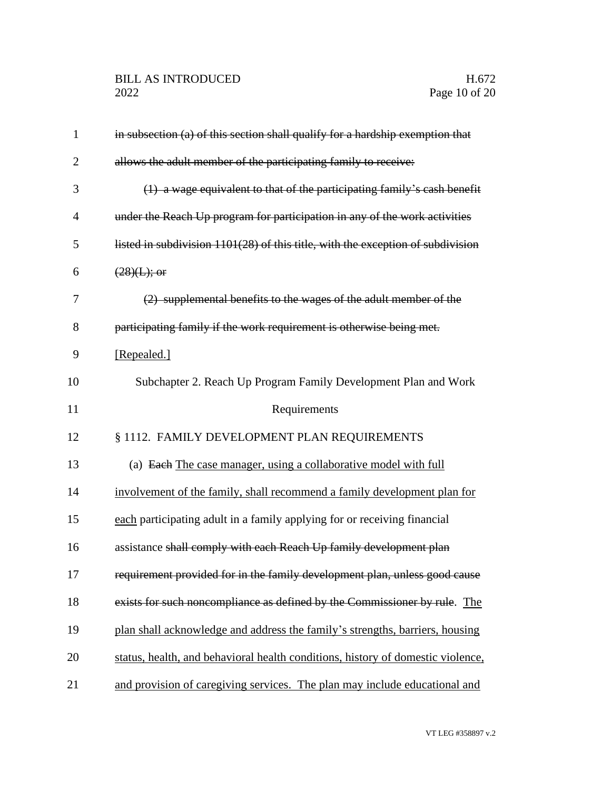| $\mathbf{1}$   | in subsection (a) of this section shall qualify for a hardship exemption that   |
|----------------|---------------------------------------------------------------------------------|
| $\overline{2}$ | allows the adult member of the participating family to receive:                 |
| 3              | (1) a wage equivalent to that of the participating family's cash benefit        |
| 4              | under the Reach Up program for participation in any of the work activities      |
| 5              | listed in subdivision 1101(28) of this title, with the exception of subdivision |
| 6              | $(28)(L)$ ; or                                                                  |
| 7              | (2) supplemental benefits to the wages of the adult member of the               |
| 8              | participating family if the work requirement is otherwise being met.            |
| 9              | [Repealed.]                                                                     |
| 10             | Subchapter 2. Reach Up Program Family Development Plan and Work                 |
| 11             | Requirements                                                                    |
| 12             | § 1112. FAMILY DEVELOPMENT PLAN REQUIREMENTS                                    |
| 13             | (a) Each The case manager, using a collaborative model with full                |
| 14             | involvement of the family, shall recommend a family development plan for        |
| 15             | each participating adult in a family applying for or receiving financial        |
| 16             | assistance shall comply with each Reach Up family development plan              |
| 17             | requirement provided for in the family development plan, unless good cause      |
| 18             | exists for such noncompliance as defined by the Commissioner by rule. The       |
| 19             | plan shall acknowledge and address the family's strengths, barriers, housing    |
| 20             | status, health, and behavioral health conditions, history of domestic violence, |
| 21             | and provision of caregiving services. The plan may include educational and      |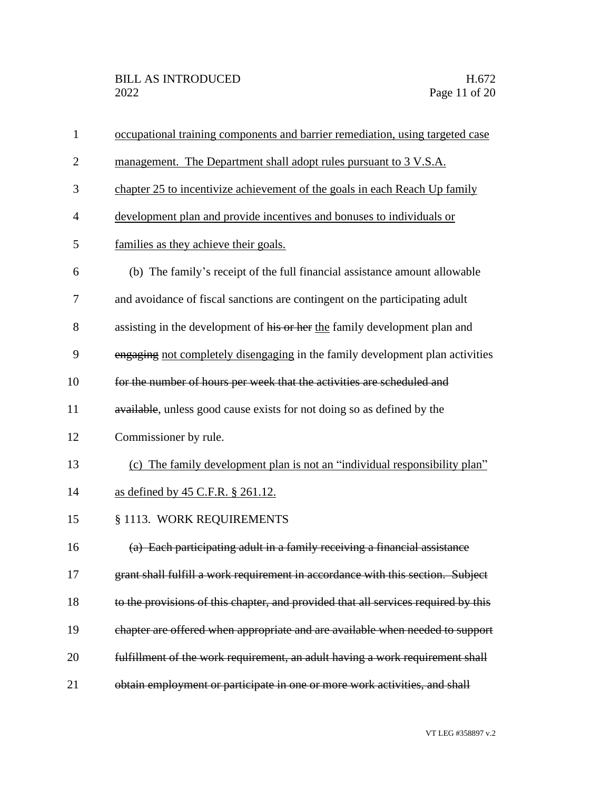| $\mathbf{1}$   | occupational training components and barrier remediation, using targeted case      |
|----------------|------------------------------------------------------------------------------------|
| $\overline{2}$ | management. The Department shall adopt rules pursuant to 3 V.S.A.                  |
| 3              | chapter 25 to incentivize achievement of the goals in each Reach Up family         |
| 4              | development plan and provide incentives and bonuses to individuals or              |
| 5              | families as they achieve their goals.                                              |
| 6              | (b) The family's receipt of the full financial assistance amount allowable         |
| 7              | and avoidance of fiscal sanctions are contingent on the participating adult        |
| 8              | assisting in the development of his or her the family development plan and         |
| 9              | engaging not completely disengaging in the family development plan activities      |
| 10             | for the number of hours per week that the activities are scheduled and             |
| 11             | available, unless good cause exists for not doing so as defined by the             |
| 12             | Commissioner by rule.                                                              |
| 13             | (c) The family development plan is not an "individual responsibility plan"         |
| 14             | as defined by 45 C.F.R. § 261.12.                                                  |
| 15             | § 1113. WORK REQUIREMENTS                                                          |
| 16             | (a) Each participating adult in a family receiving a financial assistance          |
| 17             | grant shall fulfill a work requirement in accordance with this section. Subject    |
| 18             | to the provisions of this chapter, and provided that all services required by this |
| 19             | chapter are offered when appropriate and are available when needed to support      |
| 20             | fulfillment of the work requirement, an adult having a work requirement shall      |
| 21             | obtain employment or participate in one or more work activities, and shall         |
|                |                                                                                    |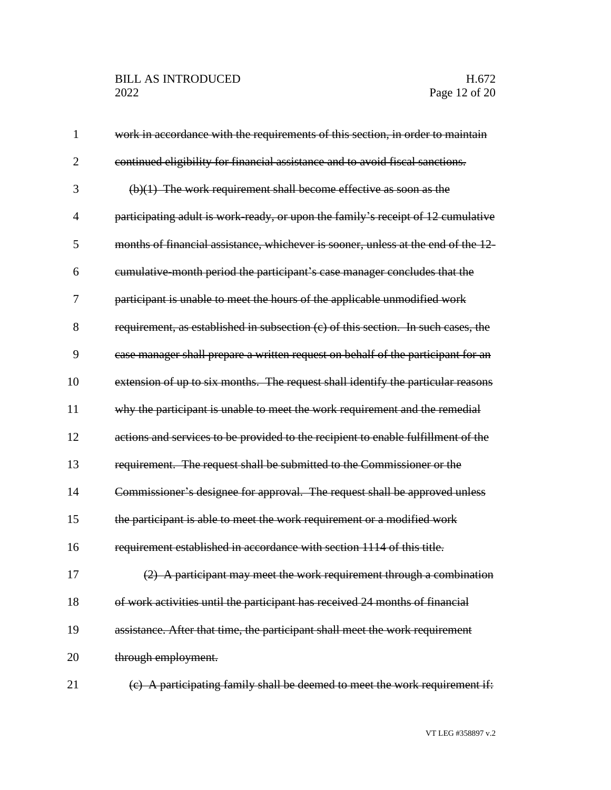| 1              | work in accordance with the requirements of this section, in order to maintain    |
|----------------|-----------------------------------------------------------------------------------|
| $\overline{2}$ | continued eligibility for financial assistance and to avoid fiscal sanctions.     |
| 3              | $(b)(1)$ The work requirement shall become effective as soon as the               |
| $\overline{4}$ | participating adult is work-ready, or upon the family's receipt of 12 cumulative  |
| 5              | months of financial assistance, whichever is sooner, unless at the end of the 12  |
| 6              | eumulative month period the participant's case manager concludes that the         |
| 7              | participant is unable to meet the hours of the applicable unmodified work         |
| 8              | requirement, as established in subsection (c) of this section. In such cases, the |
| 9              | case manager shall prepare a written request on behalf of the participant for an  |
| 10             | extension of up to six months. The request shall identify the particular reasons  |
| 11             | why the participant is unable to meet the work requirement and the remedial       |
| 12             | actions and services to be provided to the recipient to enable fulfillment of the |
| 13             | requirement. The request shall be submitted to the Commissioner or the            |
| 14             | Commissioner's designee for approval. The request shall be approved unless        |
| 15             | the participant is able to meet the work requirement or a modified work           |
| 16             | requirement established in accordance with section 1114 of this title.            |
| 17             | (2) A participant may meet the work requirement through a combination             |
| 18             | of work activities until the participant has received 24 months of financial      |
| 19             | assistance. After that time, the participant shall meet the work requirement      |
| 20             | through employment.                                                               |
| 21             | $(e)$ A participating family shall be deemed to meet the work requirement if:     |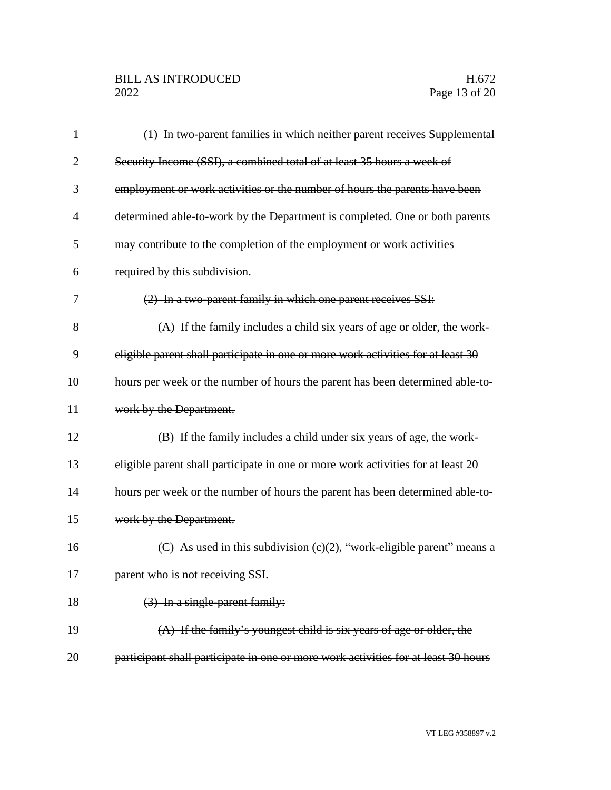| 1              | (1) In two-parent families in which neither parent receives Supplemental           |
|----------------|------------------------------------------------------------------------------------|
| $\overline{2}$ | Security Income (SSI), a combined total of at least 35 hours a week of             |
| 3              | employment or work activities or the number of hours the parents have been         |
| $\overline{4}$ | determined able-to-work by the Department is completed. One or both parents        |
| 5              | may contribute to the completion of the employment or work activities              |
| 6              | required by this subdivision.                                                      |
| 7              | (2) In a two-parent family in which one parent receives SSI:                       |
| 8              | $(A)$ If the family includes a child six years of age or older, the work-          |
| 9              | eligible parent shall participate in one or more work activities for at least 30   |
| 10             | hours per week or the number of hours the parent has been determined able to-      |
| 11             | work by the Department.                                                            |
| 12             | (B) If the family includes a child under six years of age, the work-               |
| 13             | eligible parent shall participate in one or more work activities for at least 20   |
| 14             | hours per week or the number of hours the parent has been determined able-to-      |
| 15             | work by the Department.                                                            |
| 16             | (C) As used in this subdivision $(c)(2)$ , "work eligible parent" means a          |
| 17             | parent who is not receiving SSI.                                                   |
| 18             | $(3)$ In a single parent family:                                                   |
| 19             | $(A)$ If the family's youngest child is six years of age or older, the             |
| 20             | participant shall participate in one or more work activities for at least 30 hours |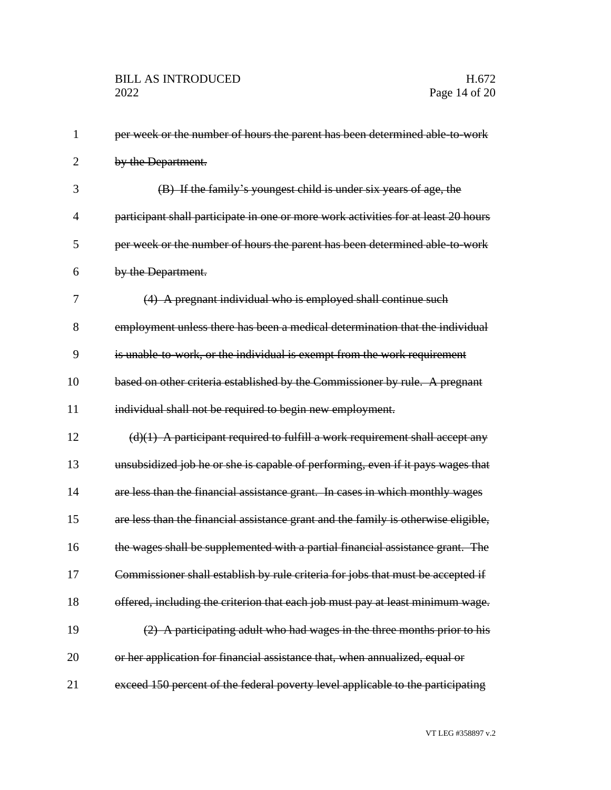| $\mathbf{1}$   | per week or the number of hours the parent has been determined able-to-work        |
|----------------|------------------------------------------------------------------------------------|
| 2              | by the Department.                                                                 |
| 3              | (B) If the family's youngest child is under six years of age, the                  |
| $\overline{4}$ | participant shall participate in one or more work activities for at least 20 hours |
| 5              | per week or the number of hours the parent has been determined able to work        |
| 6              | by the Department.                                                                 |
| 7              | (4) A pregnant individual who is employed shall continue such                      |
| 8              | employment unless there has been a medical determination that the individual       |
| 9              | is unable-to-work, or the individual is exempt from the work requirement           |
| 10             | based on other criteria established by the Commissioner by rule. A pregnant        |
| 11             | individual shall not be required to begin new employment.                          |
| 12             | $(d)(1)$ A participant required to fulfill a work requirement shall accept any     |
| 13             | unsubsidized job he or she is capable of performing, even if it pays wages that    |
| 14             | are less than the financial assistance grant. In cases in which monthly wages      |
| 15             | are less than the financial assistance grant and the family is otherwise eligible, |
| 16             | the wages shall be supplemented with a partial financial assistance grant. The     |
| 17             | Commissioner shall establish by rule criteria for jobs that must be accepted if    |
| 18             | offered, including the criterion that each job must pay at least minimum wage.     |
| 19             | (2) A participating adult who had wages in the three months prior to his           |
| 20             | or her application for financial assistance that, when annualized, equal or        |
| 21             | exceed 150 percent of the federal poverty level applicable to the participating    |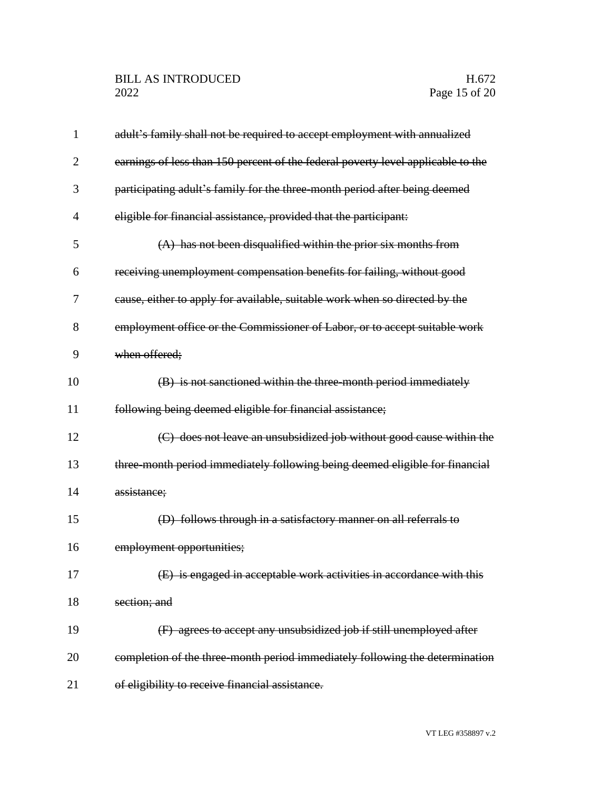| 1              | adult's family shall not be required to accept employment with annualized        |
|----------------|----------------------------------------------------------------------------------|
| 2              | earnings of less than 150 percent of the federal poverty level applicable to the |
| 3              | participating adult's family for the three month period after being deemed       |
| $\overline{4}$ | eligible for financial assistance, provided that the participant:                |
| 5              | (A) has not been disqualified within the prior six months from                   |
| 6              | receiving unemployment compensation benefits for failing, without good           |
| 7              | cause, either to apply for available, suitable work when so directed by the      |
| 8              | employment office or the Commissioner of Labor, or to accept suitable work       |
| 9              | when offered;                                                                    |
| 10             | (B) is not sanctioned within the three-month period immediately                  |
| 11             | following being deemed eligible for financial assistance;                        |
| 12             | (C) does not leave an unsubsidized job without good cause within the             |
| 13             | three month period immediately following being deemed eligible for financial     |
| 14             | assistance;                                                                      |
| 15             | (D) follows through in a satisfactory manner on all referrals to                 |
| 16             | employment opportunities;                                                        |
| 17             | (E) is engaged in acceptable work activities in accordance with this             |
| 18             | section; and                                                                     |
| 19             | (F) agrees to accept any unsubsidized job if still unemployed after              |
| 20             | completion of the three-month period immediately following the determination     |
| 21             | of eligibility to receive financial assistance.                                  |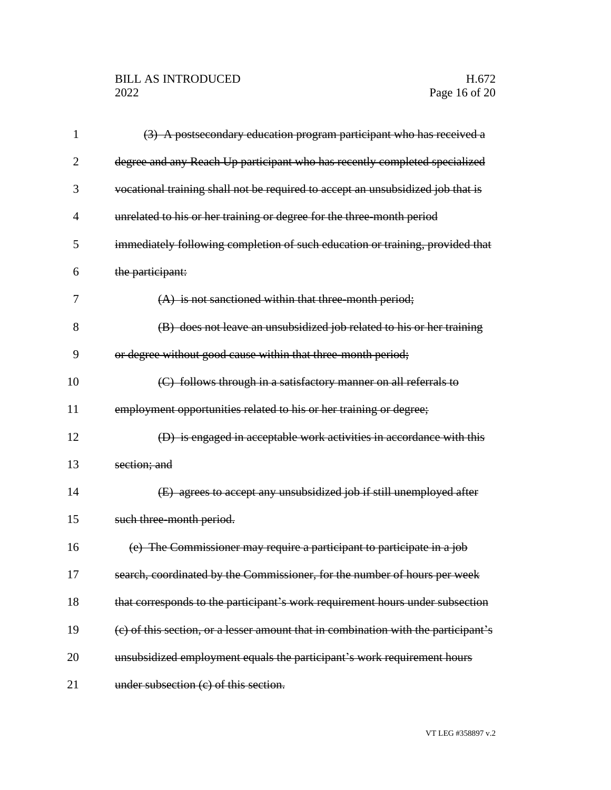## BILL AS INTRODUCED H.672<br>2022 Page 16 of 20

| 1              | (3) A postsecondary education program participant who has received a               |
|----------------|------------------------------------------------------------------------------------|
| 2              | degree and any Reach Up participant who has recently completed specialized         |
| 3              | vocational training shall not be required to accept an unsubsidized job that is    |
| $\overline{4}$ | unrelated to his or her training or degree for the three-month period              |
| 5              | immediately following completion of such education or training, provided that      |
| 6              | the participant:                                                                   |
| 7              | $(A)$ is not sanctioned within that three-month period;                            |
| 8              | (B) does not leave an unsubsidized job related to his or her training              |
| 9              | or degree without good cause within that three-month period;                       |
| 10             | (C) follows through in a satisfactory manner on all referrals to                   |
| 11             | employment opportunities related to his or her training or degree;                 |
| 12             | (D) is engaged in acceptable work activities in accordance with this               |
| 13             | section; and                                                                       |
| 14             | (E) agrees to accept any unsubsidized job if still unemployed after                |
| 15             | such three-month period.                                                           |
| 16             | (e) The Commissioner may require a participant to participate in a job             |
| 17             | search, coordinated by the Commissioner, for the number of hours per week          |
| 18             | that corresponds to the participant's work requirement hours under subsection      |
| 19             | (c) of this section, or a lesser amount that in combination with the participant's |
| 20             | unsubsidized employment equals the participant's work requirement hours            |
| 21             | under subsection (c) of this section.                                              |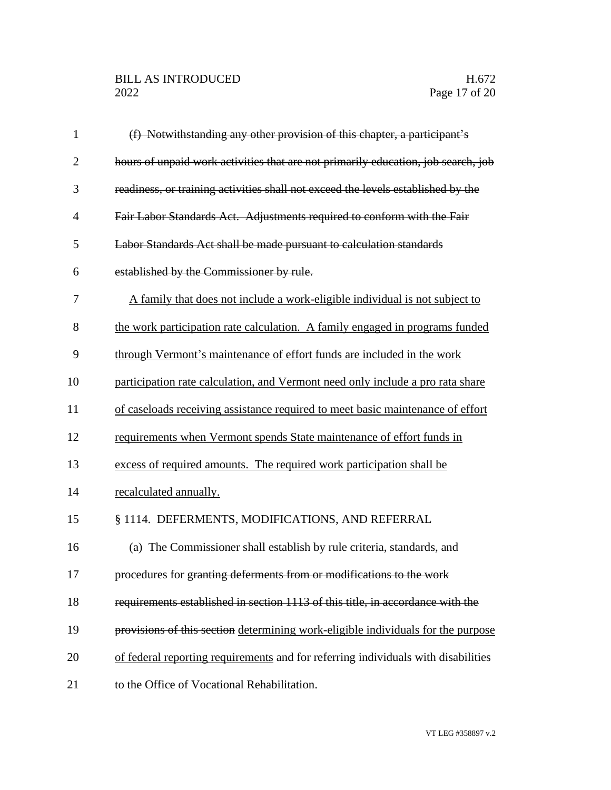| $\mathbf{1}$   | (f) Notwithstanding any other provision of this chapter, a participant's          |
|----------------|-----------------------------------------------------------------------------------|
| $\overline{2}$ | hours of unpaid work activities that are not primarily education, job search, job |
| 3              | readiness, or training activities shall not exceed the levels established by the  |
| $\overline{4}$ | Fair Labor Standards Act. Adjustments required to conform with the Fair           |
| 5              | Labor Standards Act shall be made pursuant to calculation standards               |
| 6              | established by the Commissioner by rule.                                          |
| 7              | A family that does not include a work-eligible individual is not subject to       |
| 8              | the work participation rate calculation. A family engaged in programs funded      |
| 9              | through Vermont's maintenance of effort funds are included in the work            |
| 10             | participation rate calculation, and Vermont need only include a pro rata share    |
| 11             | of caseloads receiving assistance required to meet basic maintenance of effort    |
| 12             | requirements when Vermont spends State maintenance of effort funds in             |
| 13             | excess of required amounts. The required work participation shall be              |
| 14             | recalculated annually.                                                            |
| 15             | § 1114. DEFERMENTS, MODIFICATIONS, AND REFERRAL                                   |
| 16             | (a) The Commissioner shall establish by rule criteria, standards, and             |
| 17             | procedures for granting deferments from or modifications to the work              |
| 18             | requirements established in section 1113 of this title, in accordance with the    |
| 19             | provisions of this section determining work-eligible individuals for the purpose  |
| 20             | of federal reporting requirements and for referring individuals with disabilities |
| 21             | to the Office of Vocational Rehabilitation.                                       |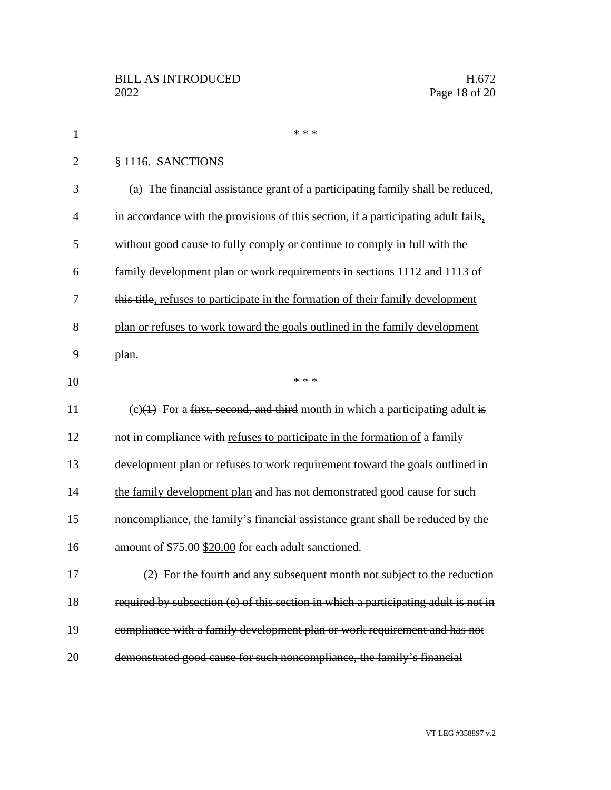| $\mathbf{1}$   | * * *                                                                               |
|----------------|-------------------------------------------------------------------------------------|
| $\overline{2}$ | § 1116. SANCTIONS                                                                   |
| 3              | (a) The financial assistance grant of a participating family shall be reduced,      |
| $\overline{4}$ | in accordance with the provisions of this section, if a participating adult fails,  |
| 5              | without good cause to fully comply or continue to comply in full with the           |
| 6              | family development plan or work requirements in sections 1112 and 1113 of           |
| 7              | this title, refuses to participate in the formation of their family development     |
| 8              | plan or refuses to work toward the goals outlined in the family development         |
| 9              | plan.                                                                               |
| 10             | * * *                                                                               |
| 11             | $(c)(1)$ For a first, second, and third month in which a participating adult is     |
| 12             | not in compliance with refuses to participate in the formation of a family          |
| 13             | development plan or refuses to work requirement toward the goals outlined in        |
| 14             | the family development plan and has not demonstrated good cause for such            |
| 15             | noncompliance, the family's financial assistance grant shall be reduced by the      |
| 16             | amount of \$75.00 \$20.00 for each adult sanctioned.                                |
| 17             | (2) For the fourth and any subsequent month not subject to the reduction            |
| 18             | required by subsection (e) of this section in which a participating adult is not in |
| 19             | compliance with a family development plan or work requirement and has not           |
| 20             | demonstrated good cause for such noncompliance, the family's financial              |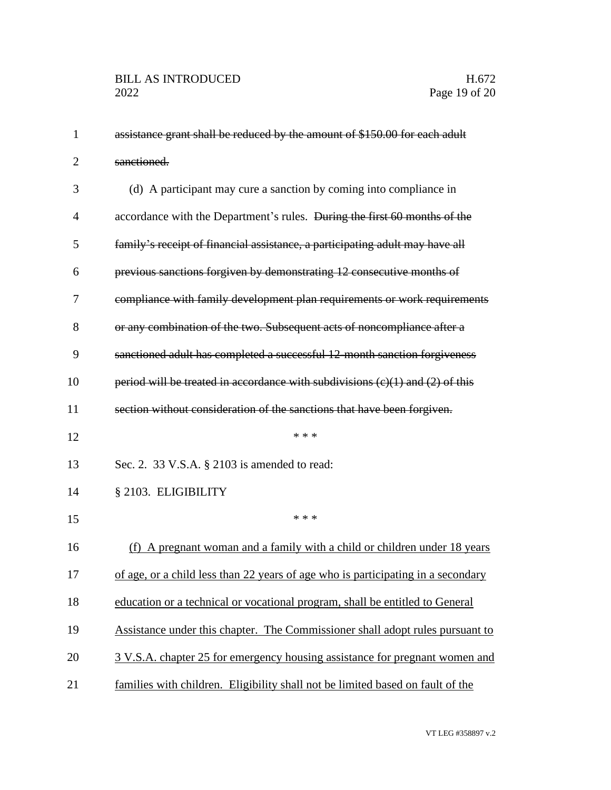| $\mathbf{1}$   | assistance grant shall be reduced by the amount of \$150.00 for each adult           |
|----------------|--------------------------------------------------------------------------------------|
| $\overline{2}$ | sanctioned.                                                                          |
| 3              | (d) A participant may cure a sanction by coming into compliance in                   |
| 4              | accordance with the Department's rules. <del>During the first 60 months of the</del> |
| 5              | family's receipt of financial assistance, a participating adult may have all         |
| 6              | previous sanctions forgiven by demonstrating 12 consecutive months of                |
| 7              | compliance with family development plan requirements or work requirements            |
| 8              | or any combination of the two. Subsequent acts of noncompliance after a              |
| 9              | sanctioned adult has completed a successful 12-month sanction forgiveness            |
| 10             | period will be treated in accordance with subdivisions $(c)(1)$ and $(2)$ of this    |
| 11             | section without consideration of the sanctions that have been forgiven.              |
| 12             | * * *                                                                                |
| 13             | Sec. 2. 33 V.S.A. § 2103 is amended to read:                                         |
| 14             | § 2103. ELIGIBILITY                                                                  |
| 15             | * * *                                                                                |
| 16             | (f) A pregnant woman and a family with a child or children under 18 years            |
| 17             | of age, or a child less than 22 years of age who is participating in a secondary     |
| 18             | education or a technical or vocational program, shall be entitled to General         |
| 19             | Assistance under this chapter. The Commissioner shall adopt rules pursuant to        |
| 20             | 3 V.S.A. chapter 25 for emergency housing assistance for pregnant women and          |
| 21             | families with children. Eligibility shall not be limited based on fault of the       |